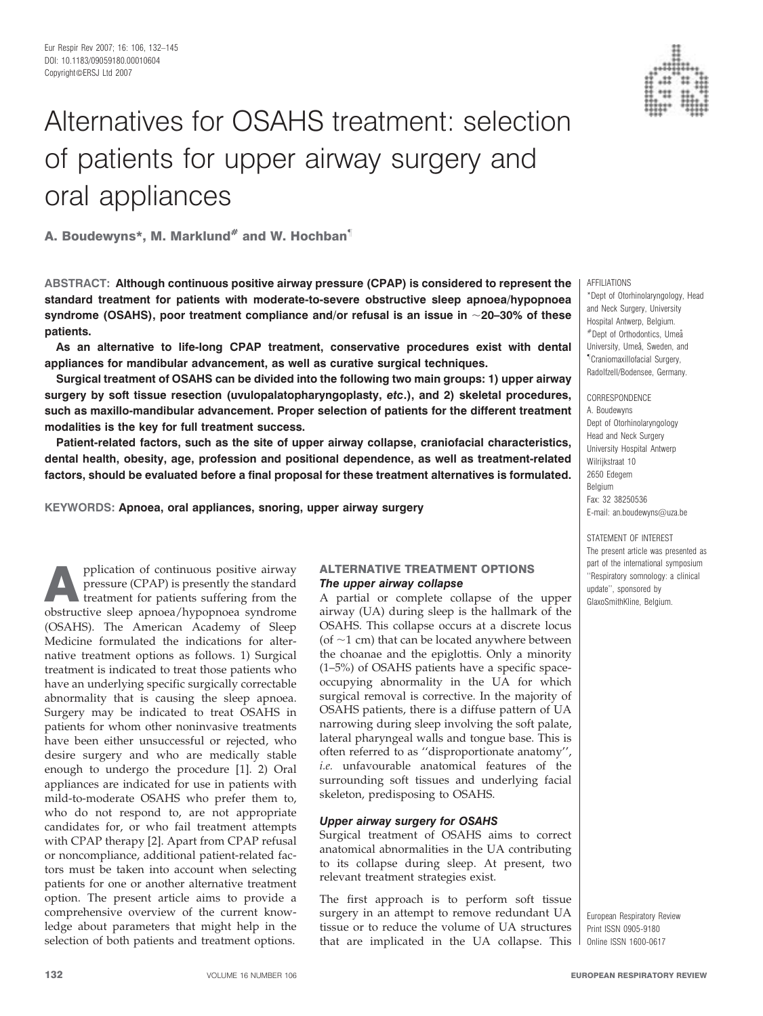

A. Boudewyns\*, M. Marklund<sup>#</sup> and W. Hochban<sup>1</sup>

ABSTRACT: Although continuous positive airway pressure (CPAP) is considered to represent the standard treatment for patients with moderate-to-severe obstructive sleep apnoea/hypopnoea syndrome (OSAHS), poor treatment compliance and/or refusal is an issue in  $\sim$ 20–30% of these patients.

As an alternative to life-long CPAP treatment, conservative procedures exist with dental appliances for mandibular advancement, as well as curative surgical techniques.

Surgical treatment of OSAHS can be divided into the following two main groups: 1) upper airway surgery by soft tissue resection (uvulopalatopharyngoplasty, etc.), and 2) skeletal procedures, such as maxillo-mandibular advancement. Proper selection of patients for the different treatment modalities is the key for full treatment success.

Patient-related factors, such as the site of upper airway collapse, craniofacial characteristics, dental health, obesity, age, profession and positional dependence, as well as treatment-related factors, should be evaluated before a final proposal for these treatment alternatives is formulated.

KEYWORDS: Apnoea, oral appliances, snoring, upper airway surgery

pplication of continuous positive airway<br>pressure (CPAP) is presently the standard<br>treatment for patients suffering from the<br>obstructive clean annone (hyponneoe cyndrome pressure (CPAP) is presently the standard treatment for patients suffering from the obstructive sleep apnoea/hypopnoea syndrome (OSAHS). The American Academy of Sleep Medicine formulated the indications for alternative treatment options as follows. 1) Surgical treatment is indicated to treat those patients who have an underlying specific surgically correctable abnormality that is causing the sleep apnoea. Surgery may be indicated to treat OSAHS in patients for whom other noninvasive treatments have been either unsuccessful or rejected, who desire surgery and who are medically stable enough to undergo the procedure [1]. 2) Oral appliances are indicated for use in patients with mild-to-moderate OSAHS who prefer them to, who do not respond to, are not appropriate candidates for, or who fail treatment attempts with CPAP therapy [2]. Apart from CPAP refusal or noncompliance, additional patient-related factors must be taken into account when selecting patients for one or another alternative treatment option. The present article aims to provide a comprehensive overview of the current knowledge about parameters that might help in the selection of both patients and treatment options.

# ALTERNATIVE TREATMENT OPTIONS The upper airway collapse

A partial or complete collapse of the upper airway (UA) during sleep is the hallmark of the OSAHS. This collapse occurs at a discrete locus (of  $\sim$ 1 cm) that can be located anywhere between the choanae and the epiglottis. Only a minority (1–5%) of OSAHS patients have a specific spaceoccupying abnormality in the UA for which surgical removal is corrective. In the majority of OSAHS patients, there is a diffuse pattern of UA narrowing during sleep involving the soft palate, lateral pharyngeal walls and tongue base. This is often referred to as ''disproportionate anatomy'', i.e. unfavourable anatomical features of the surrounding soft tissues and underlying facial skeleton, predisposing to OSAHS.

## Upper airway surgery for OSAHS

Surgical treatment of OSAHS aims to correct anatomical abnormalities in the UA contributing to its collapse during sleep. At present, two relevant treatment strategies exist.

The first approach is to perform soft tissue surgery in an attempt to remove redundant UA tissue or to reduce the volume of UA structures that are implicated in the UA collapse. This



\*Dept of Otorhinolaryngology, Head and Neck Surgery, University Hospital Antwerp, Belgium. #Dept of Orthodontics, Umea˚ University, Umeå, Sweden, and " Craniomaxillofacial Surgery, Radolfzell/Bodensee, Germany.

**CORRESPONDENCE** A. Boudewyns Dept of Otorhinolaryngology Head and Neck Surgery University Hospital Antwerp Wilrijkstraat 10 2650 Edegem Belgium Fax: 32 38250536 E-mail: an.boudewyns@uza.be

STATEMENT OF INTEREST The present article was presented as part of the international symposium ''Respiratory somnology: a clinical update'', sponsored by GlaxoSmithKline, Belgium.

European Respiratory Review Print ISSN 0905-9180 Online ISSN 1600-0617

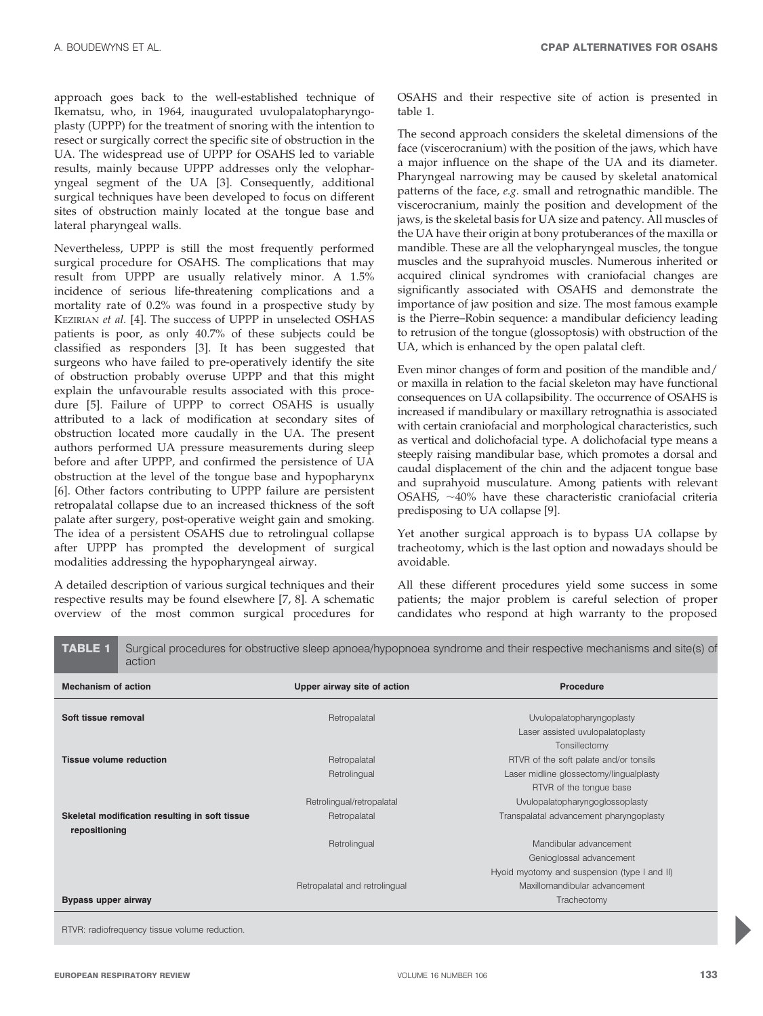approach goes back to the well-established technique of Ikematsu, who, in 1964, inaugurated uvulopalatopharyngoplasty (UPPP) for the treatment of snoring with the intention to resect or surgically correct the specific site of obstruction in the UA. The widespread use of UPPP for OSAHS led to variable results, mainly because UPPP addresses only the velopharyngeal segment of the UA [3]. Consequently, additional surgical techniques have been developed to focus on different sites of obstruction mainly located at the tongue base and lateral pharyngeal walls.

Nevertheless, UPPP is still the most frequently performed surgical procedure for OSAHS. The complications that may result from UPPP are usually relatively minor. A 1.5% incidence of serious life-threatening complications and a mortality rate of 0.2% was found in a prospective study by KEZIRIAN et al. [4]. The success of UPPP in unselected OSHAS patients is poor, as only 40.7% of these subjects could be classified as responders [3]. It has been suggested that surgeons who have failed to pre-operatively identify the site of obstruction probably overuse UPPP and that this might explain the unfavourable results associated with this procedure [5]. Failure of UPPP to correct OSAHS is usually attributed to a lack of modification at secondary sites of obstruction located more caudally in the UA. The present authors performed UA pressure measurements during sleep before and after UPPP, and confirmed the persistence of UA obstruction at the level of the tongue base and hypopharynx [6]. Other factors contributing to UPPP failure are persistent retropalatal collapse due to an increased thickness of the soft palate after surgery, post-operative weight gain and smoking. The idea of a persistent OSAHS due to retrolingual collapse after UPPP has prompted the development of surgical modalities addressing the hypopharyngeal airway.

A detailed description of various surgical techniques and their respective results may be found elsewhere [7, 8]. A schematic overview of the most common surgical procedures for OSAHS and their respective site of action is presented in table 1.

The second approach considers the skeletal dimensions of the face (viscerocranium) with the position of the jaws, which have a major influence on the shape of the UA and its diameter. Pharyngeal narrowing may be caused by skeletal anatomical patterns of the face, e.g. small and retrognathic mandible. The viscerocranium, mainly the position and development of the jaws, is the skeletal basis for UA size and patency. All muscles of the UA have their origin at bony protuberances of the maxilla or mandible. These are all the velopharyngeal muscles, the tongue muscles and the suprahyoid muscles. Numerous inherited or acquired clinical syndromes with craniofacial changes are significantly associated with OSAHS and demonstrate the importance of jaw position and size. The most famous example is the Pierre–Robin sequence: a mandibular deficiency leading to retrusion of the tongue (glossoptosis) with obstruction of the UA, which is enhanced by the open palatal cleft.

Even minor changes of form and position of the mandible and/ or maxilla in relation to the facial skeleton may have functional consequences on UA collapsibility. The occurrence of OSAHS is increased if mandibulary or maxillary retrognathia is associated with certain craniofacial and morphological characteristics, such as vertical and dolichofacial type. A dolichofacial type means a steeply raising mandibular base, which promotes a dorsal and caudal displacement of the chin and the adjacent tongue base and suprahyoid musculature. Among patients with relevant OSAHS,  $\sim$ 40% have these characteristic craniofacial criteria predisposing to UA collapse [9].

Yet another surgical approach is to bypass UA collapse by tracheotomy, which is the last option and nowadays should be avoidable.

All these different procedures yield some success in some patients; the major problem is careful selection of proper candidates who respond at high warranty to the proposed

| <b>TABLE 1</b>                 | Surgical procedures for obstructive sleep apnoea/hypopnoea syndrome and their respective mechanisms and site(s) of<br>action |                                           |                                                                                                              |  |  |
|--------------------------------|------------------------------------------------------------------------------------------------------------------------------|-------------------------------------------|--------------------------------------------------------------------------------------------------------------|--|--|
| <b>Mechanism of action</b>     |                                                                                                                              | Upper airway site of action               | Procedure                                                                                                    |  |  |
| Soft tissue removal            |                                                                                                                              | Retropalatal                              | Uvulopalatopharyngoplasty<br>Laser assisted uvulopalatoplasty<br>Tonsillectomy                               |  |  |
| <b>Tissue volume reduction</b> |                                                                                                                              | Retropalatal<br>Retrolingual              | RTVR of the soft palate and/or tonsils<br>Laser midline glossectomy/lingualplasty<br>RTVR of the tongue base |  |  |
| repositioning                  | Skeletal modification resulting in soft tissue                                                                               | Retrolingual/retropalatal<br>Retropalatal | Uvulopalatopharyngoglossoplasty<br>Transpalatal advancement pharyngoplasty                                   |  |  |
|                                |                                                                                                                              | Retrolingual                              | Mandibular advancement<br>Genioglossal advancement                                                           |  |  |
| Bypass upper airway            |                                                                                                                              | Retropalatal and retrolingual             | Hyoid myotomy and suspension (type I and II)<br>Maxillomandibular advancement<br>Tracheotomy                 |  |  |
|                                | DTVD, redictroguescutions volume reduction                                                                                   |                                           |                                                                                                              |  |  |

RTVR: radiofrequency tissue vo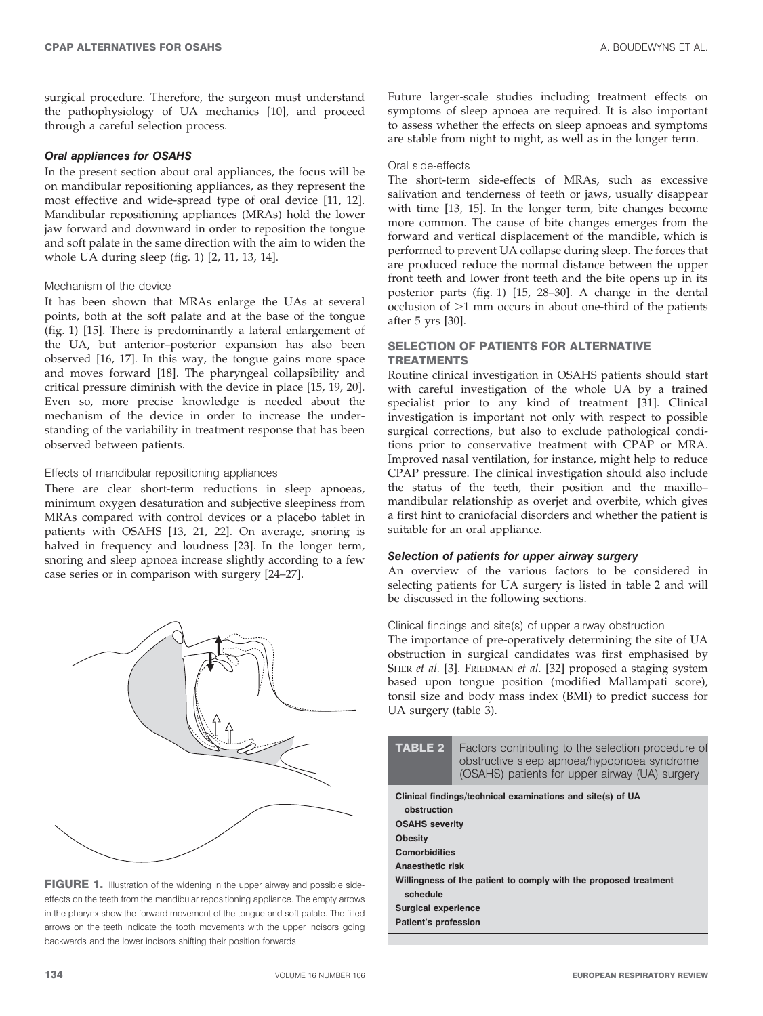surgical procedure. Therefore, the surgeon must understand the pathophysiology of UA mechanics [10], and proceed through a careful selection process.

### Oral appliances for OSAHS

In the present section about oral appliances, the focus will be on mandibular repositioning appliances, as they represent the most effective and wide-spread type of oral device [11, 12]. Mandibular repositioning appliances (MRAs) hold the lower jaw forward and downward in order to reposition the tongue and soft palate in the same direction with the aim to widen the whole UA during sleep (fig. 1) [2, 11, 13, 14].

#### Mechanism of the device

It has been shown that MRAs enlarge the UAs at several points, both at the soft palate and at the base of the tongue (fig. 1) [15]. There is predominantly a lateral enlargement of the UA, but anterior–posterior expansion has also been observed [16, 17]. In this way, the tongue gains more space and moves forward [18]. The pharyngeal collapsibility and critical pressure diminish with the device in place [15, 19, 20]. Even so, more precise knowledge is needed about the mechanism of the device in order to increase the understanding of the variability in treatment response that has been observed between patients.

### Effects of mandibular repositioning appliances

There are clear short-term reductions in sleep apnoeas, minimum oxygen desaturation and subjective sleepiness from MRAs compared with control devices or a placebo tablet in patients with OSAHS [13, 21, 22]. On average, snoring is halved in frequency and loudness [23]. In the longer term, snoring and sleep apnoea increase slightly according to a few case series or in comparison with surgery [24–27].



FIGURE 1. Illustration of the widening in the upper airway and possible sideeffects on the teeth from the mandibular repositioning appliance. The empty arrows in the pharynx show the forward movement of the tongue and soft palate. The filled arrows on the teeth indicate the tooth movements with the upper incisors going backwards and the lower incisors shifting their position forwards.

Future larger-scale studies including treatment effects on symptoms of sleep apnoea are required. It is also important to assess whether the effects on sleep apnoeas and symptoms are stable from night to night, as well as in the longer term.

#### Oral side-effects

The short-term side-effects of MRAs, such as excessive salivation and tenderness of teeth or jaws, usually disappear with time [13, 15]. In the longer term, bite changes become more common. The cause of bite changes emerges from the forward and vertical displacement of the mandible, which is performed to prevent UA collapse during sleep. The forces that are produced reduce the normal distance between the upper front teeth and lower front teeth and the bite opens up in its posterior parts (fig. 1) [15, 28–30]. A change in the dental occlusion of  $>1$  mm occurs in about one-third of the patients after 5 yrs [30].

## SELECTION OF PATIENTS FOR ALTERNATIVE **TREATMENTS**

Routine clinical investigation in OSAHS patients should start with careful investigation of the whole UA by a trained specialist prior to any kind of treatment [31]. Clinical investigation is important not only with respect to possible surgical corrections, but also to exclude pathological conditions prior to conservative treatment with CPAP or MRA. Improved nasal ventilation, for instance, might help to reduce CPAP pressure. The clinical investigation should also include the status of the teeth, their position and the maxillo– mandibular relationship as overjet and overbite, which gives a first hint to craniofacial disorders and whether the patient is suitable for an oral appliance.

## Selection of patients for upper airway surgery

An overview of the various factors to be considered in selecting patients for UA surgery is listed in table 2 and will be discussed in the following sections.

## Clinical findings and site(s) of upper airway obstruction

The importance of pre-operatively determining the site of UA obstruction in surgical candidates was first emphasised by SHER et al. [3]. FRIEDMAN et al. [32] proposed a staging system based upon tongue position (modified Mallampati score), tonsil size and body mass index (BMI) to predict success for UA surgery (table 3).

| <b>TABLE 2</b>                                                                                                                                                                                                                                                                                         | Factors contributing to the selection procedure of<br>obstructive sleep apnoea/hypopnoea syndrome<br>(OSAHS) patients for upper airway (UA) surgery |  |  |
|--------------------------------------------------------------------------------------------------------------------------------------------------------------------------------------------------------------------------------------------------------------------------------------------------------|-----------------------------------------------------------------------------------------------------------------------------------------------------|--|--|
| Clinical findings/technical examinations and site(s) of UA<br>obstruction<br><b>OSAHS</b> severity<br><b>Obesity</b><br><b>Comorbidities</b><br><b>Anaesthetic risk</b><br>Willingness of the patient to comply with the proposed treatment<br>schedule<br>Surgical experience<br>Patient's profession |                                                                                                                                                     |  |  |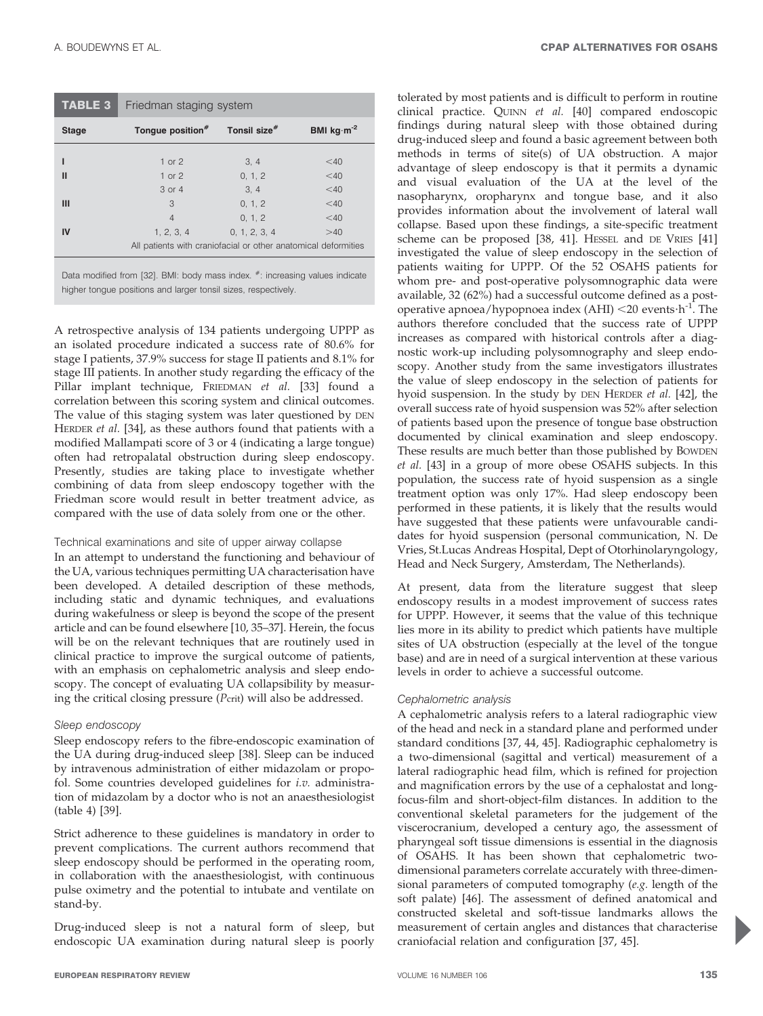| TABLE 3      | Friedman staging system                                        |                          |                                |
|--------------|----------------------------------------------------------------|--------------------------|--------------------------------|
| <b>Stage</b> | Tonque position <sup>#</sup>                                   | Tonsil size <sup>#</sup> | BMI kg $\cdot$ m <sup>-2</sup> |
|              | $1$ or $2$                                                     | 3, 4                     | $<$ 40                         |
| п            | $1$ or $2$                                                     | 0, 1, 2                  | $<$ 40                         |
|              | $3$ or $4$                                                     | 3.4                      | $<$ 40                         |
| Ш            | 3                                                              | 0, 1, 2                  | $<$ 40                         |
|              | $\overline{4}$                                                 | 0, 1, 2                  | $<$ 40                         |
| IV           | 1, 2, 3, 4                                                     | 0, 1, 2, 3, 4            | >40                            |
|              | All patients with craniofacial or other anatomical deformities |                          |                                |

Data modified from [32]. BMI: body mass index. #: increasing values indicate higher tongue positions and larger tonsil sizes, respectively.

A retrospective analysis of 134 patients undergoing UPPP as an isolated procedure indicated a success rate of 80.6% for stage I patients, 37.9% success for stage II patients and 8.1% for stage III patients. In another study regarding the efficacy of the Pillar implant technique, FRIEDMAN et al. [33] found a correlation between this scoring system and clinical outcomes. The value of this staging system was later questioned by DEN HERDER et al. [34], as these authors found that patients with a modified Mallampati score of 3 or 4 (indicating a large tongue) often had retropalatal obstruction during sleep endoscopy. Presently, studies are taking place to investigate whether combining of data from sleep endoscopy together with the Friedman score would result in better treatment advice, as compared with the use of data solely from one or the other.

### Technical examinations and site of upper airway collapse

In an attempt to understand the functioning and behaviour of the UA, various techniques permitting UA characterisation have been developed. A detailed description of these methods, including static and dynamic techniques, and evaluations during wakefulness or sleep is beyond the scope of the present article and can be found elsewhere [10, 35–37]. Herein, the focus will be on the relevant techniques that are routinely used in clinical practice to improve the surgical outcome of patients, with an emphasis on cephalometric analysis and sleep endoscopy. The concept of evaluating UA collapsibility by measuring the critical closing pressure (Pcrit) will also be addressed.

#### Sleep endoscopy

Sleep endoscopy refers to the fibre-endoscopic examination of the UA during drug-induced sleep [38]. Sleep can be induced by intravenous administration of either midazolam or propofol. Some countries developed guidelines for  $i.v.$  administration of midazolam by a doctor who is not an anaesthesiologist (table 4) [39].

Strict adherence to these guidelines is mandatory in order to prevent complications. The current authors recommend that sleep endoscopy should be performed in the operating room, in collaboration with the anaesthesiologist, with continuous pulse oximetry and the potential to intubate and ventilate on stand-by.

Drug-induced sleep is not a natural form of sleep, but endoscopic UA examination during natural sleep is poorly tolerated by most patients and is difficult to perform in routine clinical practice. QUINN et al. [40] compared endoscopic findings during natural sleep with those obtained during drug-induced sleep and found a basic agreement between both methods in terms of site(s) of UA obstruction. A major advantage of sleep endoscopy is that it permits a dynamic and visual evaluation of the UA at the level of the nasopharynx, oropharynx and tongue base, and it also provides information about the involvement of lateral wall collapse. Based upon these findings, a site-specific treatment scheme can be proposed [38, 41]. HESSEL and DE VRIES [41] investigated the value of sleep endoscopy in the selection of patients waiting for UPPP. Of the 52 OSAHS patients for whom pre- and post-operative polysomnographic data were available, 32 (62%) had a successful outcome defined as a postoperative apnoea/hypopnoea index  $(AHI)$  <20 events $\cdot$ h<sup>-1</sup>. The authors therefore concluded that the success rate of UPPP increases as compared with historical controls after a diagnostic work-up including polysomnography and sleep endoscopy. Another study from the same investigators illustrates the value of sleep endoscopy in the selection of patients for hyoid suspension. In the study by DEN HERDER et al. [42], the overall success rate of hyoid suspension was 52% after selection of patients based upon the presence of tongue base obstruction documented by clinical examination and sleep endoscopy. These results are much better than those published by BOWDEN et al. [43] in a group of more obese OSAHS subjects. In this population, the success rate of hyoid suspension as a single treatment option was only 17%. Had sleep endoscopy been performed in these patients, it is likely that the results would have suggested that these patients were unfavourable candidates for hyoid suspension (personal communication, N. De Vries, St.Lucas Andreas Hospital, Dept of Otorhinolaryngology, Head and Neck Surgery, Amsterdam, The Netherlands).

At present, data from the literature suggest that sleep endoscopy results in a modest improvement of success rates for UPPP. However, it seems that the value of this technique lies more in its ability to predict which patients have multiple sites of UA obstruction (especially at the level of the tongue base) and are in need of a surgical intervention at these various levels in order to achieve a successful outcome.

## Cephalometric analysis

A cephalometric analysis refers to a lateral radiographic view of the head and neck in a standard plane and performed under standard conditions [37, 44, 45]. Radiographic cephalometry is a two-dimensional (sagittal and vertical) measurement of a lateral radiographic head film, which is refined for projection and magnification errors by the use of a cephalostat and longfocus-film and short-object-film distances. In addition to the conventional skeletal parameters for the judgement of the viscerocranium, developed a century ago, the assessment of pharyngeal soft tissue dimensions is essential in the diagnosis of OSAHS. It has been shown that cephalometric twodimensional parameters correlate accurately with three-dimensional parameters of computed tomography (e.g. length of the soft palate) [46]. The assessment of defined anatomical and constructed skeletal and soft-tissue landmarks allows the measurement of certain angles and distances that characterise craniofacial relation and configuration [37, 45].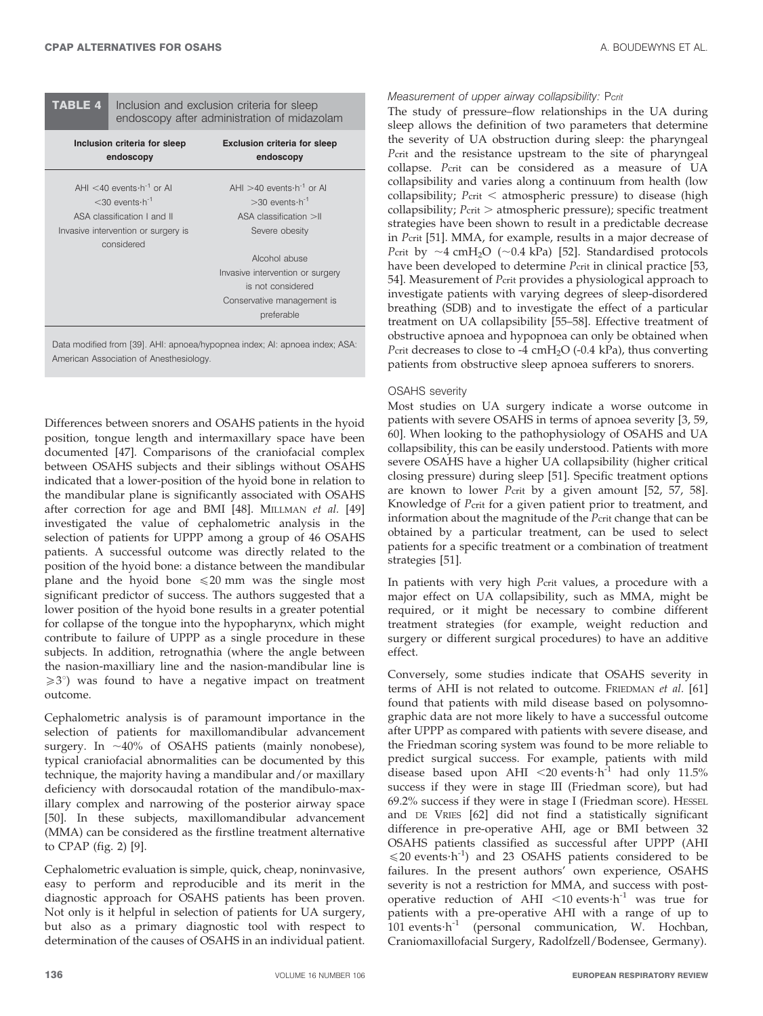| TABLE 4 | Inclusion and exclusion criteria for sleep<br>endoscopy after administration of midazolam                                                                                 |                                                                                                                                   |  |
|---------|---------------------------------------------------------------------------------------------------------------------------------------------------------------------------|-----------------------------------------------------------------------------------------------------------------------------------|--|
|         | Inclusion criteria for sleep<br>endoscopy                                                                                                                                 | <b>Exclusion criteria for sleep</b><br>endoscopy                                                                                  |  |
|         | AHI <40 events $\cdot$ h <sup>-1</sup> or AI<br>$<$ 30 events $\cdot$ h <sup>-1</sup><br>ASA classification I and II<br>Invasive intervention or surgery is<br>considered | AHI >40 events $\cdot$ h <sup>-1</sup> or AI<br>$>30$ events $\cdot$ h <sup>-1</sup><br>ASA classification $>1$<br>Severe obesity |  |
|         |                                                                                                                                                                           | Alcohol abuse<br>Invasive intervention or surgery<br>is not considered<br>Conservative management is<br>preferable                |  |

Data modified from [39]. AHI: apnoea/hypopnea index; AI: apnoea index; ASA: American Association of Anesthesiology.

Differences between snorers and OSAHS patients in the hyoid position, tongue length and intermaxillary space have been documented [47]. Comparisons of the craniofacial complex between OSAHS subjects and their siblings without OSAHS indicated that a lower-position of the hyoid bone in relation to the mandibular plane is significantly associated with OSAHS after correction for age and BMI [48]. MILLMAN et al. [49] investigated the value of cephalometric analysis in the selection of patients for UPPP among a group of 46 OSAHS patients. A successful outcome was directly related to the position of the hyoid bone: a distance between the mandibular plane and the hyoid bone  $\leq$ 20 mm was the single most significant predictor of success. The authors suggested that a lower position of the hyoid bone results in a greater potential for collapse of the tongue into the hypopharynx, which might contribute to failure of UPPP as a single procedure in these subjects. In addition, retrognathia (where the angle between the nasion-maxilliary line and the nasion-mandibular line is  $\geq 3^{\circ}$ ) was found to have a negative impact on treatment outcome.

Cephalometric analysis is of paramount importance in the selection of patients for maxillomandibular advancement surgery. In  $\sim$  40% of OSAHS patients (mainly nonobese), typical craniofacial abnormalities can be documented by this technique, the majority having a mandibular and/or maxillary deficiency with dorsocaudal rotation of the mandibulo-maxillary complex and narrowing of the posterior airway space [50]. In these subjects, maxillomandibular advancement (MMA) can be considered as the firstline treatment alternative to CPAP (fig. 2) [9].

Cephalometric evaluation is simple, quick, cheap, noninvasive, easy to perform and reproducible and its merit in the diagnostic approach for OSAHS patients has been proven. Not only is it helpful in selection of patients for UA surgery, but also as a primary diagnostic tool with respect to determination of the causes of OSAHS in an individual patient.

#### Measurement of upper airway collapsibility: Pcrit

The study of pressure–flow relationships in the UA during sleep allows the definition of two parameters that determine the severity of UA obstruction during sleep: the pharyngeal Pcrit and the resistance upstream to the site of pharyngeal collapse. Pcrit can be considered as a measure of UA collapsibility and varies along a continuum from health (low collapsibility;  $P\text{crit}$  < atmospheric pressure) to disease (high collapsibility;  $P\text{crit} >$  atmospheric pressure); specific treatment strategies have been shown to result in a predictable decrease in Pcrit [51]. MMA, for example, results in a major decrease of Pcrit by  $\sim$ 4 cmH<sub>2</sub>O ( $\sim$ 0.4 kPa) [52]. Standardised protocols have been developed to determine Pcrit in clinical practice [53, 54]. Measurement of Pcrit provides a physiological approach to investigate patients with varying degrees of sleep-disordered breathing (SDB) and to investigate the effect of a particular treatment on UA collapsibility [55–58]. Effective treatment of obstructive apnoea and hypopnoea can only be obtained when Pcrit decreases to close to -4 cmH<sub>2</sub>O (-0.4 kPa), thus converting patients from obstructive sleep apnoea sufferers to snorers.

### OSAHS severity

Most studies on UA surgery indicate a worse outcome in patients with severe OSAHS in terms of apnoea severity [3, 59, 60]. When looking to the pathophysiology of OSAHS and UA collapsibility, this can be easily understood. Patients with more severe OSAHS have a higher UA collapsibility (higher critical closing pressure) during sleep [51]. Specific treatment options are known to lower Pcrit by a given amount [52, 57, 58]. Knowledge of Pcrit for a given patient prior to treatment, and information about the magnitude of the Pcrit change that can be obtained by a particular treatment, can be used to select patients for a specific treatment or a combination of treatment strategies [51].

In patients with very high Pcrit values, a procedure with a major effect on UA collapsibility, such as MMA, might be required, or it might be necessary to combine different treatment strategies (for example, weight reduction and surgery or different surgical procedures) to have an additive effect.

Conversely, some studies indicate that OSAHS severity in terms of AHI is not related to outcome. FRIEDMAN et al. [61] found that patients with mild disease based on polysomnographic data are not more likely to have a successful outcome after UPPP as compared with patients with severe disease, and the Friedman scoring system was found to be more reliable to predict surgical success. For example, patients with mild disease based upon AHI <20 events $\cdot$ h<sup>-1</sup> had only 11.5% success if they were in stage III (Friedman score), but had 69.2% success if they were in stage I (Friedman score). HESSEL and DE VRIES [62] did not find a statistically significant difference in pre-operative AHI, age or BMI between 32 OSAHS patients classified as successful after UPPP (AHI  $\leq$ 20 events $\cdot$ h<sup>-1</sup>) and 23 OSAHS patients considered to be failures. In the present authors' own experience, OSAHS severity is not a restriction for MMA, and success with postoperative reduction of AHI  $\leq 10$  events $\cdot$ h<sup>-1</sup> was true for patients with a pre-operative AHI with a range of up to  $101$  events $\cdot$ h<sup>-1</sup> (personal communication, W. Hochban, Craniomaxillofacial Surgery, Radolfzell/Bodensee, Germany).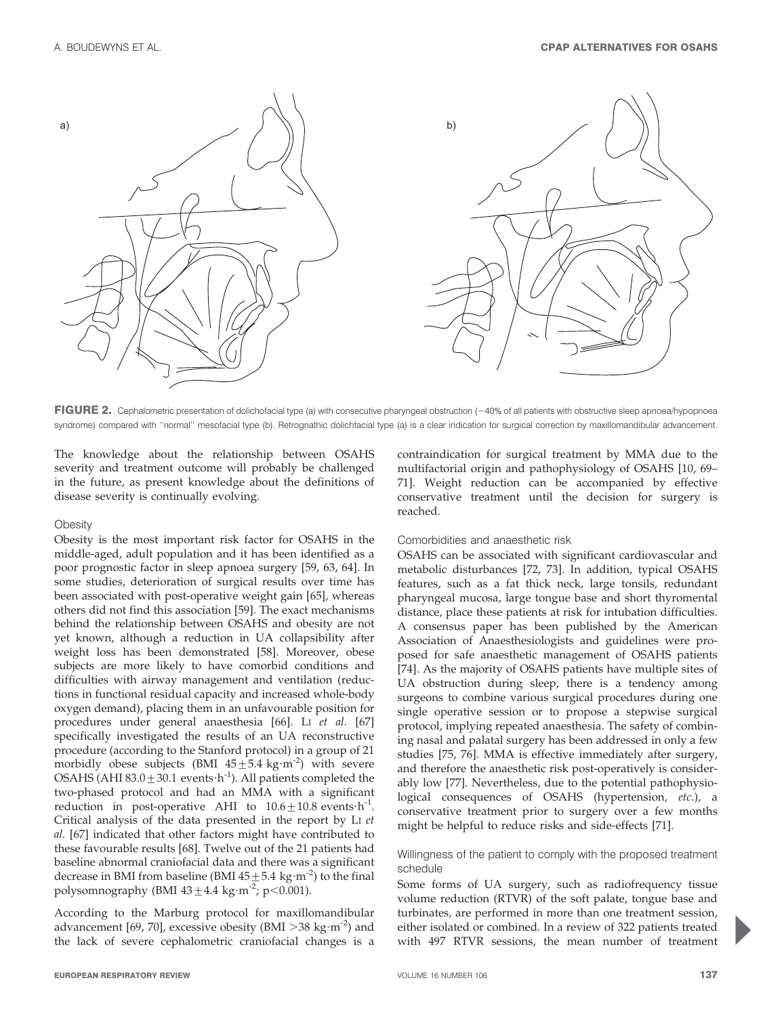

FIGURE 2. Cephalometric presentation of dolichofacial type (a) with consecutive pharyngeal obstruction (~40% of all patients with obstructive sleep apnoea/hypopnoea syndrome) compared with ''normal'' mesofacial type (b). Retrognathic dolichfacial type (a) is a clear indication for surgical correction by maxillomandibular advancement.

The knowledge about the relationship between OSAHS severity and treatment outcome will probably be challenged in the future, as present knowledge about the definitions of disease severity is continually evolving.

#### **Obesity**

Obesity is the most important risk factor for OSAHS in the middle-aged, adult population and it has been identified as a poor prognostic factor in sleep apnoea surgery [59, 63, 64]. In some studies, deterioration of surgical results over time has been associated with post-operative weight gain [65], whereas others did not find this association [59]. The exact mechanisms behind the relationship between OSAHS and obesity are not yet known, although a reduction in UA collapsibility after weight loss has been demonstrated [58]. Moreover, obese subjects are more likely to have comorbid conditions and difficulties with airway management and ventilation (reductions in functional residual capacity and increased whole-body oxygen demand), placing them in an unfavourable position for procedures under general anaesthesia [66]. LI et al. [67] specifically investigated the results of an UA reconstructive procedure (according to the Stanford protocol) in a group of 21 morbidly obese subjects (BMI  $45 \pm 5.4$  kg·m<sup>-2</sup>) with severe OSAHS (AHI 83.0 $\pm$ 30.1 events $\cdot$ h<sup>-1</sup>). All patients completed the two-phased protocol and had an MMA with a significant reduction in post-operative AHI to  $10.6 \pm 10.8$  events $\cdot h^{-1}$ . Critical analysis of the data presented in the report by LI et al. [67] indicated that other factors might have contributed to these favourable results [68]. Twelve out of the 21 patients had baseline abnormal craniofacial data and there was a significant decrease in BMI from baseline (BMI  $45 \pm 5.4 \text{ kg} \cdot \text{m}^{-2}$ ) to the final polysomnography (BMI  $43 \pm 4.4$  kg·m<sup>-2</sup>; p<0.001).

According to the Marburg protocol for maxillomandibular advancement [69, 70], excessive obesity (BMI  $>$ 38 kg·m<sup>-2</sup>) and the lack of severe cephalometric craniofacial changes is a contraindication for surgical treatment by MMA due to the multifactorial origin and pathophysiology of OSAHS [10, 69– 71]. Weight reduction can be accompanied by effective conservative treatment until the decision for surgery is reached.

#### Comorbidities and anaesthetic risk

OSAHS can be associated with significant cardiovascular and metabolic disturbances [72, 73]. In addition, typical OSAHS features, such as a fat thick neck, large tonsils, redundant pharyngeal mucosa, large tongue base and short thyromental distance, place these patients at risk for intubation difficulties. A consensus paper has been published by the American Association of Anaesthesiologists and guidelines were proposed for safe anaesthetic management of OSAHS patients [74]. As the majority of OSAHS patients have multiple sites of UA obstruction during sleep, there is a tendency among surgeons to combine various surgical procedures during one single operative session or to propose a stepwise surgical protocol, implying repeated anaesthesia. The safety of combining nasal and palatal surgery has been addressed in only a few studies [75, 76]. MMA is effective immediately after surgery, and therefore the anaesthetic risk post-operatively is considerably low [77]. Nevertheless, due to the potential pathophysiological consequences of OSAHS (hypertension, etc.), a conservative treatment prior to surgery over a few months might be helpful to reduce risks and side-effects [71].

Willingness of the patient to comply with the proposed treatment schedule

Some forms of UA surgery, such as radiofrequency tissue volume reduction (RTVR) of the soft palate, tongue base and turbinates, are performed in more than one treatment session, either isolated or combined. In a review of 322 patients treated with 497 RTVR sessions, the mean number of treatment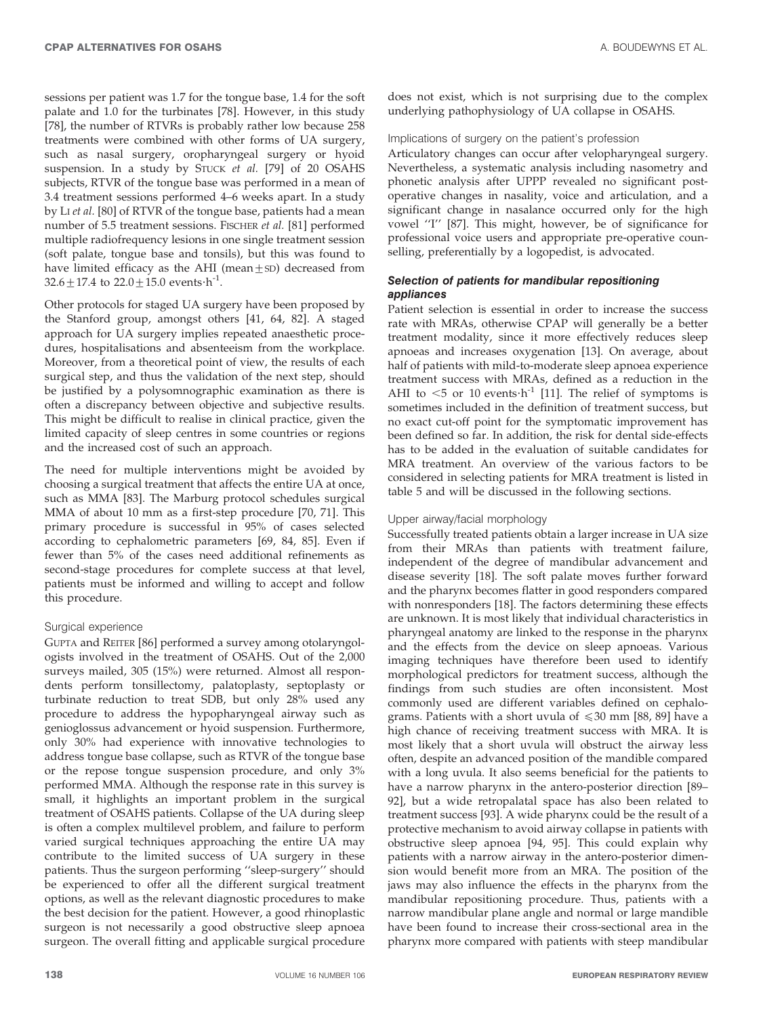sessions per patient was 1.7 for the tongue base, 1.4 for the soft palate and 1.0 for the turbinates [78]. However, in this study [78], the number of RTVRs is probably rather low because 258 treatments were combined with other forms of UA surgery, such as nasal surgery, oropharyngeal surgery or hyoid suspension. In a study by STUCK et al. [79] of 20 OSAHS subjects, RTVR of the tongue base was performed in a mean of 3.4 treatment sessions performed 4–6 weeks apart. In a study by LI et al. [80] of RTVR of the tongue base, patients had a mean number of 5.5 treatment sessions. FISCHER et al. [81] performed multiple radiofrequency lesions in one single treatment session (soft palate, tongue base and tonsils), but this was found to have limited efficacy as the AHI (mean $\pm$ SD) decreased from  $32.6 + 17.4$  to  $22.0 + 15.0$  events $\cdot h^{-1}$ .

Other protocols for staged UA surgery have been proposed by the Stanford group, amongst others [41, 64, 82]. A staged approach for UA surgery implies repeated anaesthetic procedures, hospitalisations and absenteeism from the workplace. Moreover, from a theoretical point of view, the results of each surgical step, and thus the validation of the next step, should be justified by a polysomnographic examination as there is often a discrepancy between objective and subjective results. This might be difficult to realise in clinical practice, given the limited capacity of sleep centres in some countries or regions and the increased cost of such an approach.

The need for multiple interventions might be avoided by choosing a surgical treatment that affects the entire UA at once, such as MMA [83]. The Marburg protocol schedules surgical MMA of about 10 mm as a first-step procedure [70, 71]. This primary procedure is successful in 95% of cases selected according to cephalometric parameters [69, 84, 85]. Even if fewer than 5% of the cases need additional refinements as second-stage procedures for complete success at that level, patients must be informed and willing to accept and follow this procedure.

## Surgical experience

GUPTA and REITER [86] performed a survey among otolaryngologists involved in the treatment of OSAHS. Out of the 2,000 surveys mailed, 305 (15%) were returned. Almost all respondents perform tonsillectomy, palatoplasty, septoplasty or turbinate reduction to treat SDB, but only 28% used any procedure to address the hypopharyngeal airway such as genioglossus advancement or hyoid suspension. Furthermore, only 30% had experience with innovative technologies to address tongue base collapse, such as RTVR of the tongue base or the repose tongue suspension procedure, and only 3% performed MMA. Although the response rate in this survey is small, it highlights an important problem in the surgical treatment of OSAHS patients. Collapse of the UA during sleep is often a complex multilevel problem, and failure to perform varied surgical techniques approaching the entire UA may contribute to the limited success of UA surgery in these patients. Thus the surgeon performing ''sleep-surgery'' should be experienced to offer all the different surgical treatment options, as well as the relevant diagnostic procedures to make the best decision for the patient. However, a good rhinoplastic surgeon is not necessarily a good obstructive sleep apnoea surgeon. The overall fitting and applicable surgical procedure

does not exist, which is not surprising due to the complex underlying pathophysiology of UA collapse in OSAHS.

### Implications of surgery on the patient's profession

Articulatory changes can occur after velopharyngeal surgery. Nevertheless, a systematic analysis including nasometry and phonetic analysis after UPPP revealed no significant postoperative changes in nasality, voice and articulation, and a significant change in nasalance occurred only for the high vowel ''I'' [87]. This might, however, be of significance for professional voice users and appropriate pre-operative counselling, preferentially by a logopedist, is advocated.

## Selection of patients for mandibular repositioning appliances

Patient selection is essential in order to increase the success rate with MRAs, otherwise CPAP will generally be a better treatment modality, since it more effectively reduces sleep apnoeas and increases oxygenation [13]. On average, about half of patients with mild-to-moderate sleep apnoea experience treatment success with MRAs, defined as a reduction in the AHI to  $<$ 5 or 10 events $\cdot$ h<sup>-1</sup> [11]. The relief of symptoms is sometimes included in the definition of treatment success, but no exact cut-off point for the symptomatic improvement has been defined so far. In addition, the risk for dental side-effects has to be added in the evaluation of suitable candidates for MRA treatment. An overview of the various factors to be considered in selecting patients for MRA treatment is listed in table 5 and will be discussed in the following sections.

## Upper airway/facial morphology

Successfully treated patients obtain a larger increase in UA size from their MRAs than patients with treatment failure, independent of the degree of mandibular advancement and disease severity [18]. The soft palate moves further forward and the pharynx becomes flatter in good responders compared with nonresponders [18]. The factors determining these effects are unknown. It is most likely that individual characteristics in pharyngeal anatomy are linked to the response in the pharynx and the effects from the device on sleep apnoeas. Various imaging techniques have therefore been used to identify morphological predictors for treatment success, although the findings from such studies are often inconsistent. Most commonly used are different variables defined on cephalograms. Patients with a short uvula of  $\leq 30$  mm [88, 89] have a high chance of receiving treatment success with MRA. It is most likely that a short uvula will obstruct the airway less often, despite an advanced position of the mandible compared with a long uvula. It also seems beneficial for the patients to have a narrow pharynx in the antero-posterior direction [89– 92], but a wide retropalatal space has also been related to treatment success [93]. A wide pharynx could be the result of a protective mechanism to avoid airway collapse in patients with obstructive sleep apnoea [94, 95]. This could explain why patients with a narrow airway in the antero-posterior dimension would benefit more from an MRA. The position of the jaws may also influence the effects in the pharynx from the mandibular repositioning procedure. Thus, patients with a narrow mandibular plane angle and normal or large mandible have been found to increase their cross-sectional area in the pharynx more compared with patients with steep mandibular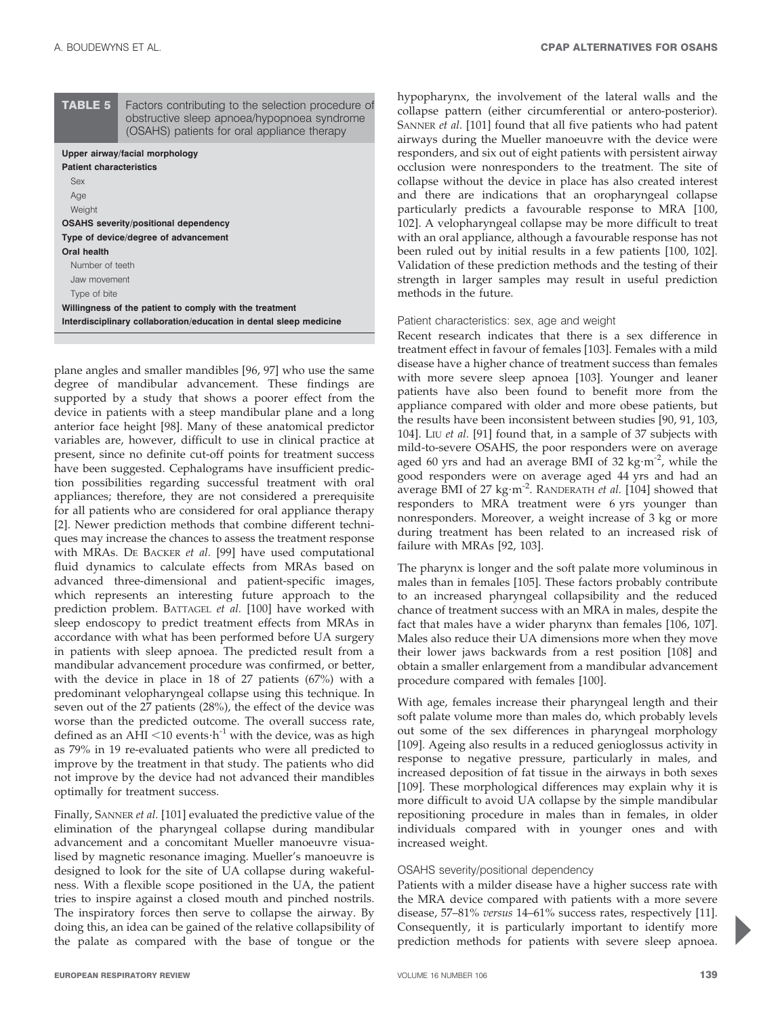| <b>TABLE 5</b>                                                                                                                | Factors contributing to the selection procedure of<br>obstructive sleep apnoea/hypopnoea syndrome<br>(OSAHS) patients for oral appliance therapy |  |  |  |  |
|-------------------------------------------------------------------------------------------------------------------------------|--------------------------------------------------------------------------------------------------------------------------------------------------|--|--|--|--|
| Upper airway/facial morphology                                                                                                |                                                                                                                                                  |  |  |  |  |
| <b>Patient characteristics</b>                                                                                                |                                                                                                                                                  |  |  |  |  |
| Sex                                                                                                                           |                                                                                                                                                  |  |  |  |  |
| Age                                                                                                                           |                                                                                                                                                  |  |  |  |  |
| Weight                                                                                                                        |                                                                                                                                                  |  |  |  |  |
| <b>OSAHS</b> severity/positional dependency                                                                                   |                                                                                                                                                  |  |  |  |  |
| Type of device/degree of advancement                                                                                          |                                                                                                                                                  |  |  |  |  |
| Oral health                                                                                                                   |                                                                                                                                                  |  |  |  |  |
| Number of teeth                                                                                                               |                                                                                                                                                  |  |  |  |  |
| Jaw movement                                                                                                                  |                                                                                                                                                  |  |  |  |  |
| Type of bite                                                                                                                  |                                                                                                                                                  |  |  |  |  |
| Willingness of the patient to comply with the treatment<br>Interdisciplinary collaboration/education in dental sleep medicine |                                                                                                                                                  |  |  |  |  |

plane angles and smaller mandibles [96, 97] who use the same degree of mandibular advancement. These findings are supported by a study that shows a poorer effect from the device in patients with a steep mandibular plane and a long anterior face height [98]. Many of these anatomical predictor variables are, however, difficult to use in clinical practice at present, since no definite cut-off points for treatment success have been suggested. Cephalograms have insufficient prediction possibilities regarding successful treatment with oral appliances; therefore, they are not considered a prerequisite for all patients who are considered for oral appliance therapy [2]. Newer prediction methods that combine different techniques may increase the chances to assess the treatment response with MRAs. DE BACKER et al. [99] have used computational fluid dynamics to calculate effects from MRAs based on advanced three-dimensional and patient-specific images, which represents an interesting future approach to the prediction problem. BATTAGEL et al. [100] have worked with sleep endoscopy to predict treatment effects from MRAs in accordance with what has been performed before UA surgery in patients with sleep apnoea. The predicted result from a mandibular advancement procedure was confirmed, or better, with the device in place in 18 of 27 patients (67%) with a predominant velopharyngeal collapse using this technique. In seven out of the 27 patients (28%), the effect of the device was worse than the predicted outcome. The overall success rate, defined as an AHI <10 events $\cdot$ h<sup>-1</sup> with the device, was as high as 79% in 19 re-evaluated patients who were all predicted to improve by the treatment in that study. The patients who did not improve by the device had not advanced their mandibles optimally for treatment success.

Finally, SANNER et al. [101] evaluated the predictive value of the elimination of the pharyngeal collapse during mandibular advancement and a concomitant Mueller manoeuvre visualised by magnetic resonance imaging. Mueller's manoeuvre is designed to look for the site of UA collapse during wakefulness. With a flexible scope positioned in the UA, the patient tries to inspire against a closed mouth and pinched nostrils. The inspiratory forces then serve to collapse the airway. By doing this, an idea can be gained of the relative collapsibility of the palate as compared with the base of tongue or the

hypopharynx, the involvement of the lateral walls and the collapse pattern (either circumferential or antero-posterior). SANNER et al. [101] found that all five patients who had patent airways during the Mueller manoeuvre with the device were responders, and six out of eight patients with persistent airway occlusion were nonresponders to the treatment. The site of collapse without the device in place has also created interest and there are indications that an oropharyngeal collapse particularly predicts a favourable response to MRA [100, 102]. A velopharyngeal collapse may be more difficult to treat with an oral appliance, although a favourable response has not been ruled out by initial results in a few patients [100, 102]. Validation of these prediction methods and the testing of their strength in larger samples may result in useful prediction methods in the future.

#### Patient characteristics: sex, age and weight

Recent research indicates that there is a sex difference in treatment effect in favour of females [103]. Females with a mild disease have a higher chance of treatment success than females with more severe sleep apnoea [103]. Younger and leaner patients have also been found to benefit more from the appliance compared with older and more obese patients, but the results have been inconsistent between studies [90, 91, 103, 104]. LIU et al. [91] found that, in a sample of 37 subjects with mild-to-severe OSAHS, the poor responders were on average aged 60 yrs and had an average BMI of 32 kg $\cdot$ m<sup>-2</sup>, while the good responders were on average aged 44 yrs and had an average BMI of 27 kg·m<sup>-2</sup>. RANDERATH et al. [104] showed that responders to MRA treatment were 6 yrs younger than nonresponders. Moreover, a weight increase of 3 kg or more during treatment has been related to an increased risk of failure with MRAs [92, 103].

The pharynx is longer and the soft palate more voluminous in males than in females [105]. These factors probably contribute to an increased pharyngeal collapsibility and the reduced chance of treatment success with an MRA in males, despite the fact that males have a wider pharynx than females [106, 107]. Males also reduce their UA dimensions more when they move their lower jaws backwards from a rest position [108] and obtain a smaller enlargement from a mandibular advancement procedure compared with females [100].

With age, females increase their pharyngeal length and their soft palate volume more than males do, which probably levels out some of the sex differences in pharyngeal morphology [109]. Ageing also results in a reduced genioglossus activity in response to negative pressure, particularly in males, and increased deposition of fat tissue in the airways in both sexes [109]. These morphological differences may explain why it is more difficult to avoid UA collapse by the simple mandibular repositioning procedure in males than in females, in older individuals compared with in younger ones and with increased weight.

### OSAHS severity/positional dependency

Patients with a milder disease have a higher success rate with the MRA device compared with patients with a more severe disease, 57–81% versus 14–61% success rates, respectively [11]. Consequently, it is particularly important to identify more prediction methods for patients with severe sleep apnoea.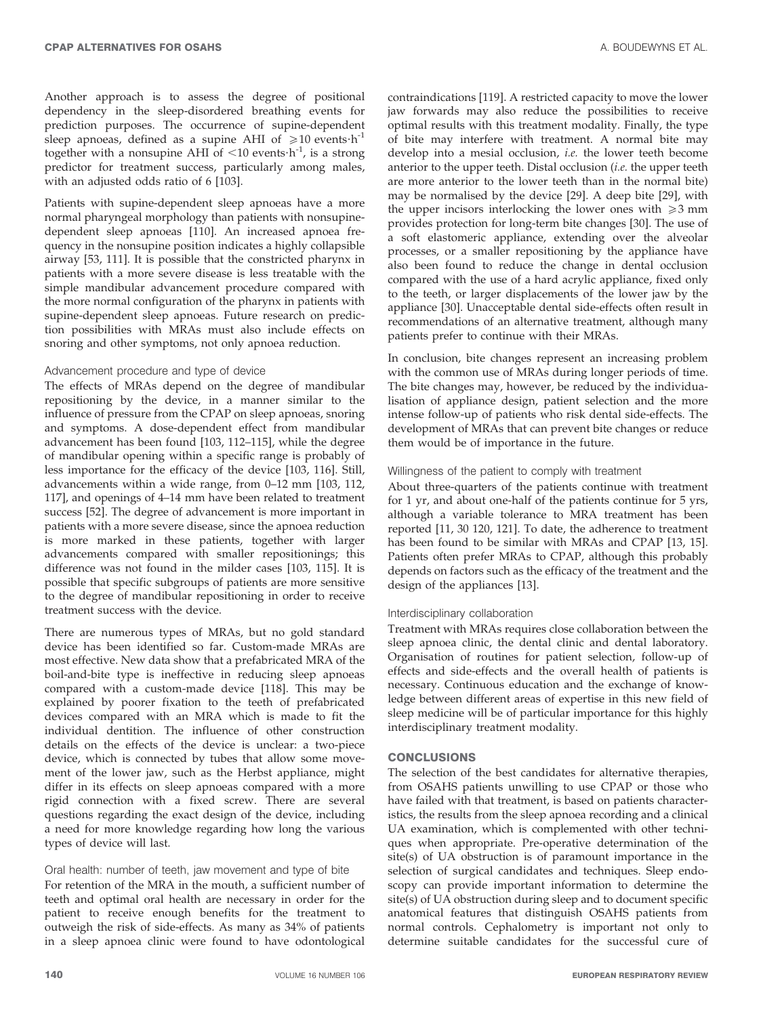Another approach is to assess the degree of positional dependency in the sleep-disordered breathing events for prediction purposes. The occurrence of supine-dependent sleep apnoeas, defined as a supine AHI of  $\geq 10$  events h<sup>-1</sup> together with a nonsupine AHI of  $\leq 10$  events $\cdot$ h<sup>-1</sup>, is a strong predictor for treatment success, particularly among males, with an adjusted odds ratio of 6 [103].

Patients with supine-dependent sleep apnoeas have a more normal pharyngeal morphology than patients with nonsupinedependent sleep apnoeas [110]. An increased apnoea frequency in the nonsupine position indicates a highly collapsible airway [53, 111]. It is possible that the constricted pharynx in patients with a more severe disease is less treatable with the simple mandibular advancement procedure compared with the more normal configuration of the pharynx in patients with supine-dependent sleep apnoeas. Future research on prediction possibilities with MRAs must also include effects on snoring and other symptoms, not only apnoea reduction.

### Advancement procedure and type of device

The effects of MRAs depend on the degree of mandibular repositioning by the device, in a manner similar to the influence of pressure from the CPAP on sleep apnoeas, snoring and symptoms. A dose-dependent effect from mandibular advancement has been found [103, 112–115], while the degree of mandibular opening within a specific range is probably of less importance for the efficacy of the device [103, 116]. Still, advancements within a wide range, from 0–12 mm [103, 112, 117], and openings of 4–14 mm have been related to treatment success [52]. The degree of advancement is more important in patients with a more severe disease, since the apnoea reduction is more marked in these patients, together with larger advancements compared with smaller repositionings; this difference was not found in the milder cases [103, 115]. It is possible that specific subgroups of patients are more sensitive to the degree of mandibular repositioning in order to receive treatment success with the device.

There are numerous types of MRAs, but no gold standard device has been identified so far. Custom-made MRAs are most effective. New data show that a prefabricated MRA of the boil-and-bite type is ineffective in reducing sleep apnoeas compared with a custom-made device [118]. This may be explained by poorer fixation to the teeth of prefabricated devices compared with an MRA which is made to fit the individual dentition. The influence of other construction details on the effects of the device is unclear: a two-piece device, which is connected by tubes that allow some movement of the lower jaw, such as the Herbst appliance, might differ in its effects on sleep apnoeas compared with a more rigid connection with a fixed screw. There are several questions regarding the exact design of the device, including a need for more knowledge regarding how long the various types of device will last.

Oral health: number of teeth, jaw movement and type of bite For retention of the MRA in the mouth, a sufficient number of teeth and optimal oral health are necessary in order for the patient to receive enough benefits for the treatment to outweigh the risk of side-effects. As many as 34% of patients in a sleep apnoea clinic were found to have odontological

contraindications [119]. A restricted capacity to move the lower jaw forwards may also reduce the possibilities to receive optimal results with this treatment modality. Finally, the type of bite may interfere with treatment. A normal bite may develop into a mesial occlusion, i.e. the lower teeth become anterior to the upper teeth. Distal occlusion (i.e. the upper teeth are more anterior to the lower teeth than in the normal bite) may be normalised by the device [29]. A deep bite [29], with the upper incisors interlocking the lower ones with  $\geq 3$  mm provides protection for long-term bite changes [30]. The use of a soft elastomeric appliance, extending over the alveolar processes, or a smaller repositioning by the appliance have also been found to reduce the change in dental occlusion compared with the use of a hard acrylic appliance, fixed only to the teeth, or larger displacements of the lower jaw by the appliance [30]. Unacceptable dental side-effects often result in recommendations of an alternative treatment, although many patients prefer to continue with their MRAs.

In conclusion, bite changes represent an increasing problem with the common use of MRAs during longer periods of time. The bite changes may, however, be reduced by the individualisation of appliance design, patient selection and the more intense follow-up of patients who risk dental side-effects. The development of MRAs that can prevent bite changes or reduce them would be of importance in the future.

### Willingness of the patient to comply with treatment

About three-quarters of the patients continue with treatment for 1 yr, and about one-half of the patients continue for 5 yrs, although a variable tolerance to MRA treatment has been reported [11, 30 120, 121]. To date, the adherence to treatment has been found to be similar with MRAs and CPAP [13, 15]. Patients often prefer MRAs to CPAP, although this probably depends on factors such as the efficacy of the treatment and the design of the appliances [13].

### Interdisciplinary collaboration

Treatment with MRAs requires close collaboration between the sleep apnoea clinic, the dental clinic and dental laboratory. Organisation of routines for patient selection, follow-up of effects and side-effects and the overall health of patients is necessary. Continuous education and the exchange of knowledge between different areas of expertise in this new field of sleep medicine will be of particular importance for this highly interdisciplinary treatment modality.

#### CONCLUSIONS

The selection of the best candidates for alternative therapies, from OSAHS patients unwilling to use CPAP or those who have failed with that treatment, is based on patients characteristics, the results from the sleep apnoea recording and a clinical UA examination, which is complemented with other techniques when appropriate. Pre-operative determination of the site(s) of UA obstruction is of paramount importance in the selection of surgical candidates and techniques. Sleep endoscopy can provide important information to determine the site(s) of UA obstruction during sleep and to document specific anatomical features that distinguish OSAHS patients from normal controls. Cephalometry is important not only to determine suitable candidates for the successful cure of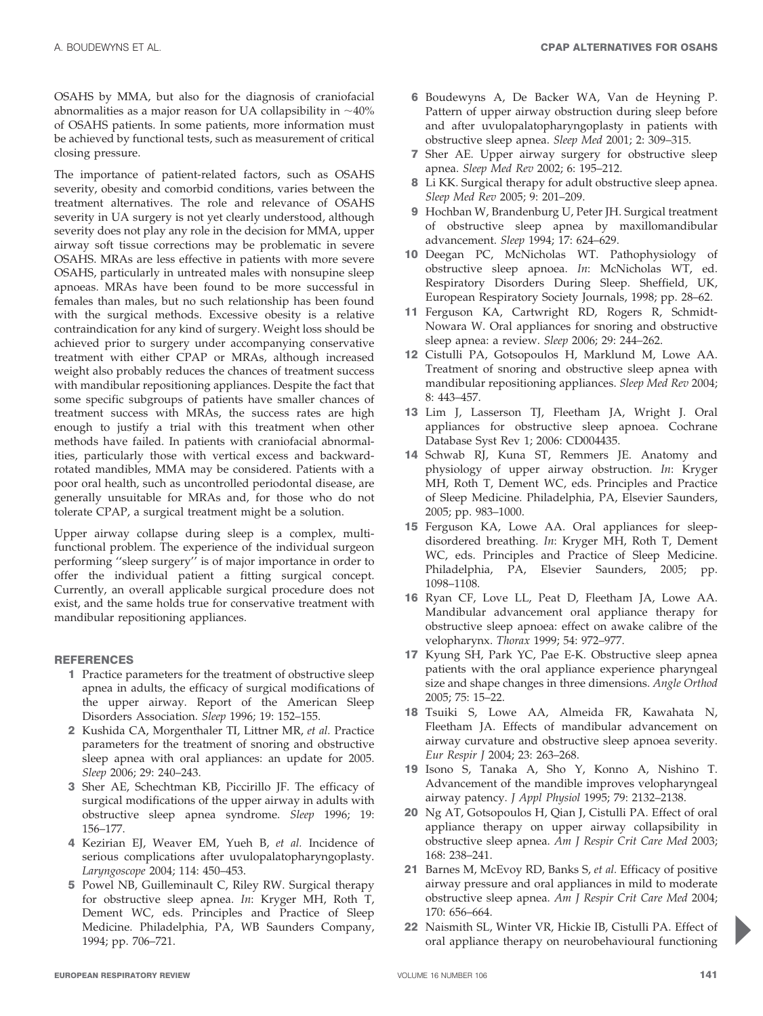OSAHS by MMA, but also for the diagnosis of craniofacial abnormalities as a major reason for UA collapsibility in  $\sim$ 40% of OSAHS patients. In some patients, more information must be achieved by functional tests, such as measurement of critical closing pressure.

The importance of patient-related factors, such as OSAHS severity, obesity and comorbid conditions, varies between the treatment alternatives. The role and relevance of OSAHS severity in UA surgery is not yet clearly understood, although severity does not play any role in the decision for MMA, upper airway soft tissue corrections may be problematic in severe OSAHS. MRAs are less effective in patients with more severe OSAHS, particularly in untreated males with nonsupine sleep apnoeas. MRAs have been found to be more successful in females than males, but no such relationship has been found with the surgical methods. Excessive obesity is a relative contraindication for any kind of surgery. Weight loss should be achieved prior to surgery under accompanying conservative treatment with either CPAP or MRAs, although increased weight also probably reduces the chances of treatment success with mandibular repositioning appliances. Despite the fact that some specific subgroups of patients have smaller chances of treatment success with MRAs, the success rates are high enough to justify a trial with this treatment when other methods have failed. In patients with craniofacial abnormalities, particularly those with vertical excess and backwardrotated mandibles, MMA may be considered. Patients with a poor oral health, such as uncontrolled periodontal disease, are generally unsuitable for MRAs and, for those who do not tolerate CPAP, a surgical treatment might be a solution.

Upper airway collapse during sleep is a complex, multifunctional problem. The experience of the individual surgeon performing ''sleep surgery'' is of major importance in order to offer the individual patient a fitting surgical concept. Currently, an overall applicable surgical procedure does not exist, and the same holds true for conservative treatment with mandibular repositioning appliances.

## REFERENCES

- 1 Practice parameters for the treatment of obstructive sleep apnea in adults, the efficacy of surgical modifications of the upper airway. Report of the American Sleep Disorders Association. Sleep 1996; 19: 152–155.
- 2 Kushida CA, Morgenthaler TI, Littner MR, et al. Practice parameters for the treatment of snoring and obstructive sleep apnea with oral appliances: an update for 2005. Sleep 2006; 29: 240–243.
- 3 Sher AE, Schechtman KB, Piccirillo JF. The efficacy of surgical modifications of the upper airway in adults with obstructive sleep apnea syndrome. Sleep 1996; 19: 156–177.
- 4 Kezirian EJ, Weaver EM, Yueh B, et al. Incidence of serious complications after uvulopalatopharyngoplasty. Laryngoscope 2004; 114: 450–453.
- 5 Powel NB, Guilleminault C, Riley RW. Surgical therapy for obstructive sleep apnea. In: Kryger MH, Roth T, Dement WC, eds. Principles and Practice of Sleep Medicine. Philadelphia, PA, WB Saunders Company, 1994; pp. 706–721.
- 6 Boudewyns A, De Backer WA, Van de Heyning P. Pattern of upper airway obstruction during sleep before and after uvulopalatopharyngoplasty in patients with obstructive sleep apnea. Sleep Med 2001; 2: 309–315.
- 7 Sher AE. Upper airway surgery for obstructive sleep apnea. Sleep Med Rev 2002; 6: 195–212.
- 8 Li KK. Surgical therapy for adult obstructive sleep apnea. Sleep Med Rev 2005; 9: 201–209.
- 9 Hochban W, Brandenburg U, Peter JH. Surgical treatment of obstructive sleep apnea by maxillomandibular advancement. Sleep 1994; 17: 624–629.
- 10 Deegan PC, McNicholas WT. Pathophysiology of obstructive sleep apnoea. In: McNicholas WT, ed. Respiratory Disorders During Sleep. Sheffield, UK, European Respiratory Society Journals, 1998; pp. 28–62.
- 11 Ferguson KA, Cartwright RD, Rogers R, Schmidt-Nowara W. Oral appliances for snoring and obstructive sleep apnea: a review. Sleep 2006; 29: 244–262.
- 12 Cistulli PA, Gotsopoulos H, Marklund M, Lowe AA. Treatment of snoring and obstructive sleep apnea with mandibular repositioning appliances. Sleep Med Rev 2004; 8: 443–457.
- 13 Lim J, Lasserson TJ, Fleetham JA, Wright J. Oral appliances for obstructive sleep apnoea. Cochrane Database Syst Rev 1; 2006: CD004435.
- 14 Schwab RJ, Kuna ST, Remmers JE. Anatomy and physiology of upper airway obstruction. In: Kryger MH, Roth T, Dement WC, eds. Principles and Practice of Sleep Medicine. Philadelphia, PA, Elsevier Saunders, 2005; pp. 983–1000.
- 15 Ferguson KA, Lowe AA. Oral appliances for sleepdisordered breathing. In: Kryger MH, Roth T, Dement WC, eds. Principles and Practice of Sleep Medicine. Philadelphia, PA, Elsevier Saunders, 2005; pp. 1098–1108.
- 16 Ryan CF, Love LL, Peat D, Fleetham JA, Lowe AA. Mandibular advancement oral appliance therapy for obstructive sleep apnoea: effect on awake calibre of the velopharynx. Thorax 1999; 54: 972–977.
- 17 Kyung SH, Park YC, Pae E-K. Obstructive sleep apnea patients with the oral appliance experience pharyngeal size and shape changes in three dimensions. Angle Orthod 2005; 75: 15–22.
- 18 Tsuiki S, Lowe AA, Almeida FR, Kawahata N, Fleetham JA. Effects of mandibular advancement on airway curvature and obstructive sleep apnoea severity. Eur Respir J 2004; 23: 263–268.
- 19 Isono S, Tanaka A, Sho Y, Konno A, Nishino T. Advancement of the mandible improves velopharyngeal airway patency. J Appl Physiol 1995; 79: 2132–2138.
- 20 Ng AT, Gotsopoulos H, Qian J, Cistulli PA. Effect of oral appliance therapy on upper airway collapsibility in obstructive sleep apnea. Am J Respir Crit Care Med 2003; 168: 238–241.
- 21 Barnes M, McEvoy RD, Banks S, et al. Efficacy of positive airway pressure and oral appliances in mild to moderate obstructive sleep apnea. Am J Respir Crit Care Med 2004; 170: 656–664.
- 22 Naismith SL, Winter VR, Hickie IB, Cistulli PA. Effect of oral appliance therapy on neurobehavioural functioning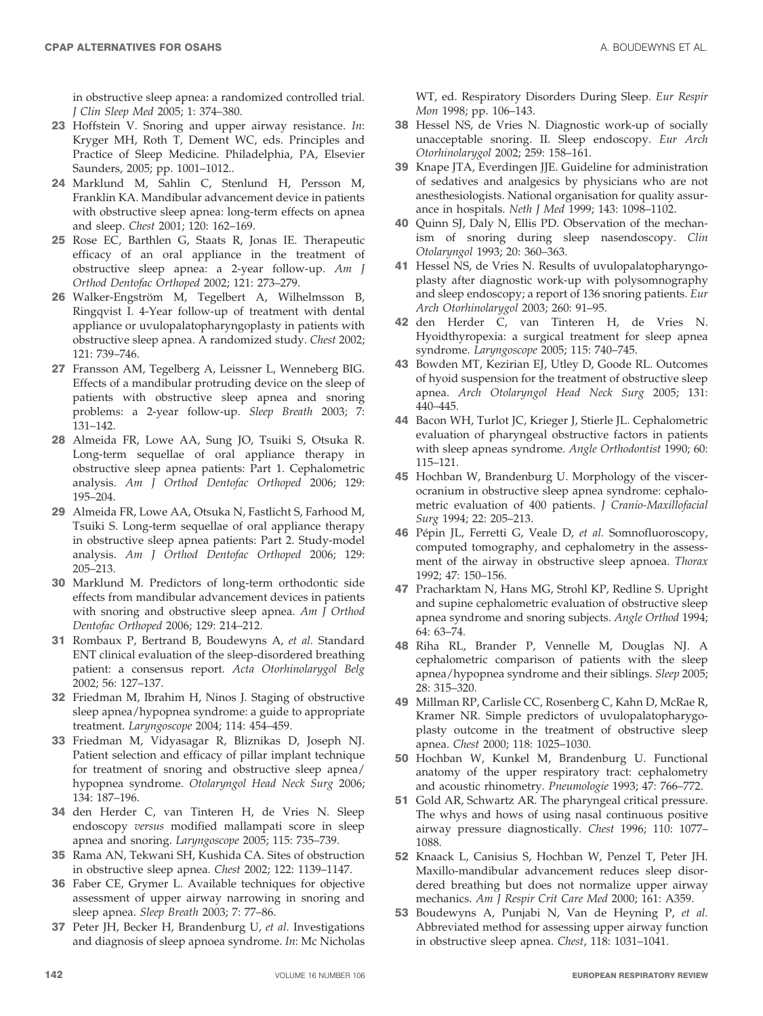in obstructive sleep apnea: a randomized controlled trial. J Clin Sleep Med 2005; 1: 374–380.

- 23 Hoffstein V. Snoring and upper airway resistance. In: Kryger MH, Roth T, Dement WC, eds. Principles and Practice of Sleep Medicine. Philadelphia, PA, Elsevier Saunders, 2005; pp. 1001–1012..
- 24 Marklund M, Sahlin C, Stenlund H, Persson M, Franklin KA. Mandibular advancement device in patients with obstructive sleep apnea: long-term effects on apnea and sleep. Chest 2001; 120: 162–169.
- 25 Rose EC, Barthlen G, Staats R, Jonas IE. Therapeutic efficacy of an oral appliance in the treatment of obstructive sleep apnea: a 2-year follow-up. Am J Orthod Dentofac Orthoped 2002; 121: 273–279.
- 26 Walker-Engström M, Tegelbert A, Wilhelmsson B, Ringqvist I. 4-Year follow-up of treatment with dental appliance or uvulopalatopharyngoplasty in patients with obstructive sleep apnea. A randomized study. Chest 2002; 121: 739–746.
- 27 Fransson AM, Tegelberg A, Leissner L, Wenneberg BIG. Effects of a mandibular protruding device on the sleep of patients with obstructive sleep apnea and snoring problems: a 2-year follow-up. Sleep Breath 2003; 7: 131–142.
- 28 Almeida FR, Lowe AA, Sung JO, Tsuiki S, Otsuka R. Long-term sequellae of oral appliance therapy in obstructive sleep apnea patients: Part 1. Cephalometric analysis. Am J Orthod Dentofac Orthoped 2006; 129: 195–204.
- 29 Almeida FR, Lowe AA, Otsuka N, Fastlicht S, Farhood M, Tsuiki S. Long-term sequellae of oral appliance therapy in obstructive sleep apnea patients: Part 2. Study-model analysis. Am J Orthod Dentofac Orthoped 2006; 129: 205–213.
- 30 Marklund M. Predictors of long-term orthodontic side effects from mandibular advancement devices in patients with snoring and obstructive sleep apnea. Am J Orthod Dentofac Orthoped 2006; 129: 214–212.
- 31 Rombaux P, Bertrand B, Boudewyns A, et al. Standard ENT clinical evaluation of the sleep-disordered breathing patient: a consensus report. Acta Otorhinolarygol Belg 2002; 56: 127–137.
- 32 Friedman M, Ibrahim H, Ninos J. Staging of obstructive sleep apnea/hypopnea syndrome: a guide to appropriate treatment. Laryngoscope 2004; 114: 454–459.
- 33 Friedman M, Vidyasagar R, Bliznikas D, Joseph NJ. Patient selection and efficacy of pillar implant technique for treatment of snoring and obstructive sleep apnea/ hypopnea syndrome. Otolaryngol Head Neck Surg 2006; 134: 187–196.
- 34 den Herder C, van Tinteren H, de Vries N. Sleep endoscopy versus modified mallampati score in sleep apnea and snoring. Laryngoscope 2005; 115: 735–739.
- 35 Rama AN, Tekwani SH, Kushida CA. Sites of obstruction in obstructive sleep apnea. Chest 2002; 122: 1139–1147.
- 36 Faber CE, Grymer L. Available techniques for objective assessment of upper airway narrowing in snoring and sleep apnea. Sleep Breath 2003; 7: 77–86.
- 37 Peter JH, Becker H, Brandenburg U, et al. Investigations and diagnosis of sleep apnoea syndrome. In: Mc Nicholas

WT, ed. Respiratory Disorders During Sleep. Eur Respir Mon 1998; pp. 106–143.

- 38 Hessel NS, de Vries N. Diagnostic work-up of socially unacceptable snoring. II. Sleep endoscopy. Eur Arch Otorhinolarygol 2002; 259: 158–161.
- 39 Knape JTA, Everdingen JJE. Guideline for administration of sedatives and analgesics by physicians who are not anesthesiologists. National organisation for quality assurance in hospitals. Neth J Med 1999; 143: 1098–1102.
- 40 Quinn SJ, Daly N, Ellis PD. Observation of the mechanism of snoring during sleep nasendoscopy. Clin Otolaryngol 1993; 20: 360–363.
- 41 Hessel NS, de Vries N. Results of uvulopalatopharyngoplasty after diagnostic work-up with polysomnography and sleep endoscopy; a report of 136 snoring patients. Eur Arch Otorhinolarygol 2003; 260: 91–95.
- 42 den Herder C, van Tinteren H, de Vries N. Hyoidthyropexia: a surgical treatment for sleep apnea syndrome. Laryngoscope 2005; 115: 740–745.
- 43 Bowden MT, Kezirian EJ, Utley D, Goode RL. Outcomes of hyoid suspension for the treatment of obstructive sleep apnea. Arch Otolaryngol Head Neck Surg 2005; 131: 440–445.
- 44 Bacon WH, Turlot JC, Krieger J, Stierle JL. Cephalometric evaluation of pharyngeal obstructive factors in patients with sleep apneas syndrome. Angle Orthodontist 1990; 60: 115–121.
- 45 Hochban W, Brandenburg U. Morphology of the viscerocranium in obstructive sleep apnea syndrome: cephalometric evaluation of 400 patients. J Cranio-Maxillofacial Surg 1994; 22: 205–213.
- 46 Pépin JL, Ferretti G, Veale D, et al. Somnofluoroscopy, computed tomography, and cephalometry in the assessment of the airway in obstructive sleep apnoea. Thorax 1992; 47: 150–156.
- 47 Pracharktam N, Hans MG, Strohl KP, Redline S. Upright and supine cephalometric evaluation of obstructive sleep apnea syndrome and snoring subjects. Angle Orthod 1994; 64: 63–74.
- 48 Riha RL, Brander P, Vennelle M, Douglas NJ. A cephalometric comparison of patients with the sleep apnea/hypopnea syndrome and their siblings. Sleep 2005; 28: 315–320.
- 49 Millman RP, Carlisle CC, Rosenberg C, Kahn D, McRae R, Kramer NR. Simple predictors of uvulopalatopharygoplasty outcome in the treatment of obstructive sleep apnea. Chest 2000; 118: 1025–1030.
- 50 Hochban W, Kunkel M, Brandenburg U. Functional anatomy of the upper respiratory tract: cephalometry and acoustic rhinometry. Pneumologie 1993; 47: 766–772.
- 51 Gold AR, Schwartz AR. The pharyngeal critical pressure. The whys and hows of using nasal continuous positive airway pressure diagnostically. Chest 1996; 110: 1077– 1088.
- 52 Knaack L, Canisius S, Hochban W, Penzel T, Peter JH. Maxillo-mandibular advancement reduces sleep disordered breathing but does not normalize upper airway mechanics. Am J Respir Crit Care Med 2000; 161: A359.
- 53 Boudewyns A, Punjabi N, Van de Heyning P, et al. Abbreviated method for assessing upper airway function in obstructive sleep apnea. Chest, 118: 1031–1041.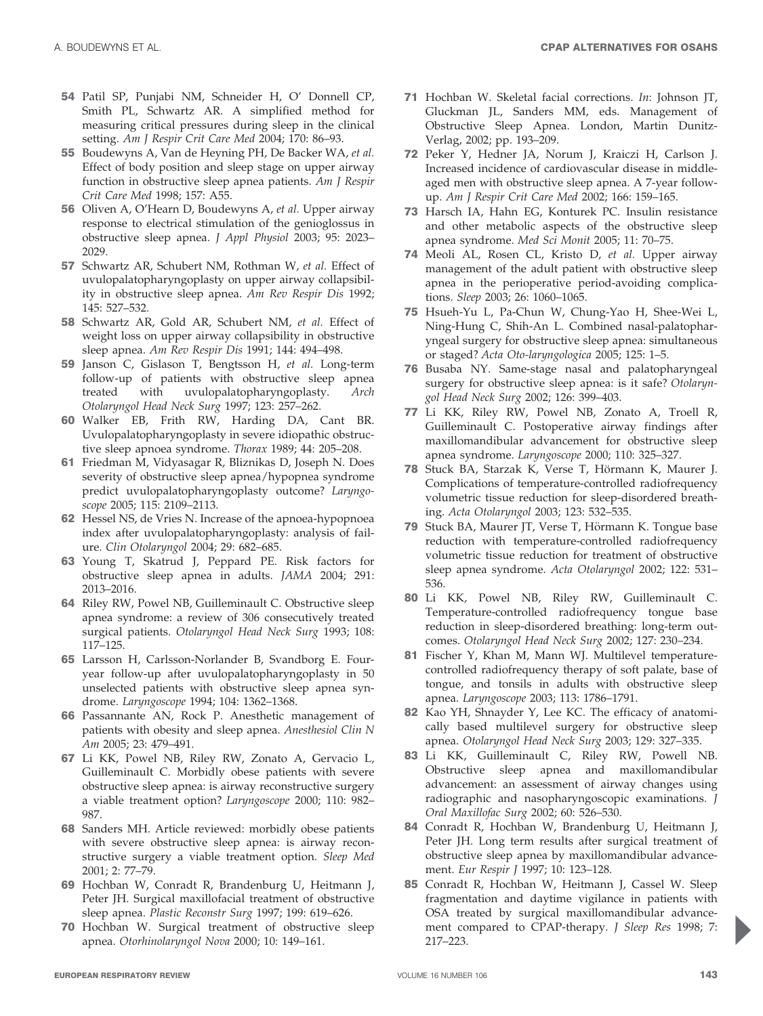- 54 Patil SP, Punjabi NM, Schneider H, O' Donnell CP, Smith PL, Schwartz AR. A simplified method for measuring critical pressures during sleep in the clinical setting. Am J Respir Crit Care Med 2004; 170: 86–93.
- 55 Boudewyns A, Van de Heyning PH, De Backer WA, et al. Effect of body position and sleep stage on upper airway function in obstructive sleep apnea patients. Am J Respir Crit Care Med 1998; 157: A55.
- 56 Oliven A, O'Hearn D, Boudewyns A, et al. Upper airway response to electrical stimulation of the genioglossus in obstructive sleep apnea. J Appl Physiol 2003; 95: 2023– 2029.
- 57 Schwartz AR, Schubert NM, Rothman W, et al. Effect of uvulopalatopharyngoplasty on upper airway collapsibility in obstructive sleep apnea. Am Rev Respir Dis 1992; 145: 527–532.
- 58 Schwartz AR, Gold AR, Schubert NM, et al. Effect of weight loss on upper airway collapsibility in obstructive sleep apnea. Am Rev Respir Dis 1991; 144: 494–498.
- 59 Janson C, Gislason T, Bengtsson H, et al. Long-term follow-up of patients with obstructive sleep apnea treated with uvulopalatopharyngoplasty. Arch Otolaryngol Head Neck Surg 1997; 123: 257–262.
- 60 Walker EB, Frith RW, Harding DA, Cant BR. Uvulopalatopharyngoplasty in severe idiopathic obstructive sleep apnoea syndrome. Thorax 1989; 44: 205–208.
- 61 Friedman M, Vidyasagar R, Bliznikas D, Joseph N. Does severity of obstructive sleep apnea/hypopnea syndrome predict uvulopalatopharyngoplasty outcome? Laryngoscope 2005; 115: 2109–2113.
- 62 Hessel NS, de Vries N. Increase of the apnoea-hypopnoea index after uvulopalatopharyngoplasty: analysis of failure. Clin Otolaryngol 2004; 29: 682–685.
- 63 Young T, Skatrud J, Peppard PE. Risk factors for obstructive sleep apnea in adults. JAMA 2004; 291: 2013–2016.
- 64 Riley RW, Powel NB, Guilleminault C. Obstructive sleep apnea syndrome: a review of 306 consecutively treated surgical patients. Otolaryngol Head Neck Surg 1993; 108: 117–125.
- 65 Larsson H, Carlsson-Norlander B, Svandborg E. Fouryear follow-up after uvulopalatopharyngoplasty in 50 unselected patients with obstructive sleep apnea syndrome. Laryngoscope 1994; 104: 1362–1368.
- 66 Passannante AN, Rock P. Anesthetic management of patients with obesity and sleep apnea. Anesthesiol Clin N Am 2005; 23: 479–491.
- 67 Li KK, Powel NB, Riley RW, Zonato A, Gervacio L, Guilleminault C. Morbidly obese patients with severe obstructive sleep apnea: is airway reconstructive surgery a viable treatment option? Laryngoscope 2000; 110: 982– 987.
- 68 Sanders MH. Article reviewed: morbidly obese patients with severe obstructive sleep apnea: is airway reconstructive surgery a viable treatment option. Sleep Med 2001; 2: 77–79.
- 69 Hochban W, Conradt R, Brandenburg U, Heitmann J, Peter JH. Surgical maxillofacial treatment of obstructive sleep apnea. Plastic Reconstr Surg 1997; 199: 619–626.
- 70 Hochban W. Surgical treatment of obstructive sleep apnea. Otorhinolaryngol Nova 2000; 10: 149–161.
- 71 Hochban W. Skeletal facial corrections. In: Johnson JT, Gluckman JL, Sanders MM, eds. Management of Obstructive Sleep Apnea. London, Martin Dunitz-Verlag, 2002; pp. 193–209.
- 72 Peker Y, Hedner JA, Norum J, Kraiczi H, Carlson J. Increased incidence of cardiovascular disease in middleaged men with obstructive sleep apnea. A 7-year followup. Am J Respir Crit Care Med 2002; 166: 159–165.
- 73 Harsch IA, Hahn EG, Konturek PC. Insulin resistance and other metabolic aspects of the obstructive sleep apnea syndrome. Med Sci Monit 2005; 11: 70–75.
- 74 Meoli AL, Rosen CL, Kristo D, et al. Upper airway management of the adult patient with obstructive sleep apnea in the perioperative period-avoiding complications. Sleep 2003; 26: 1060–1065.
- 75 Hsueh-Yu L, Pa-Chun W, Chung-Yao H, Shee-Wei L, Ning-Hung C, Shih-An L. Combined nasal-palatopharyngeal surgery for obstructive sleep apnea: simultaneous or staged? Acta Oto-laryngologica 2005; 125: 1–5.
- 76 Busaba NY. Same-stage nasal and palatopharyngeal surgery for obstructive sleep apnea: is it safe? Otolaryngol Head Neck Surg 2002; 126: 399–403.
- 77 Li KK, Riley RW, Powel NB, Zonato A, Troell R, Guilleminault C. Postoperative airway findings after maxillomandibular advancement for obstructive sleep apnea syndrome. Laryngoscope 2000; 110: 325–327.
- 78 Stuck BA, Starzak K, Verse T, Hörmann K, Maurer J. Complications of temperature-controlled radiofrequency volumetric tissue reduction for sleep-disordered breathing. Acta Otolaryngol 2003; 123: 532–535.
- 79 Stuck BA, Maurer JT, Verse T, Hörmann K. Tongue base reduction with temperature-controlled radiofrequency volumetric tissue reduction for treatment of obstructive sleep apnea syndrome. Acta Otolaryngol 2002; 122: 531– 536.
- 80 Li KK, Powel NB, Riley RW, Guilleminault C. Temperature-controlled radiofrequency tongue base reduction in sleep-disordered breathing: long-term outcomes. Otolaryngol Head Neck Surg 2002; 127: 230–234.
- 81 Fischer Y, Khan M, Mann WJ. Multilevel temperaturecontrolled radiofrequency therapy of soft palate, base of tongue, and tonsils in adults with obstructive sleep apnea. Laryngoscope 2003; 113: 1786–1791.
- 82 Kao YH, Shnayder Y, Lee KC. The efficacy of anatomically based multilevel surgery for obstructive sleep apnea. Otolaryngol Head Neck Surg 2003; 129: 327–335.
- 83 Li KK, Guilleminault C, Riley RW, Powell NB. Obstructive sleep apnea and maxillomandibular advancement: an assessment of airway changes using radiographic and nasopharyngoscopic examinations. J Oral Maxillofac Surg 2002; 60: 526–530.
- 84 Conradt R, Hochban W, Brandenburg U, Heitmann J, Peter JH. Long term results after surgical treatment of obstructive sleep apnea by maxillomandibular advancement. Eur Respir J 1997; 10: 123-128.
- 85 Conradt R, Hochban W, Heitmann J, Cassel W. Sleep fragmentation and daytime vigilance in patients with OSA treated by surgical maxillomandibular advancement compared to CPAP-therapy. J Sleep Res 1998; 7: 217–223.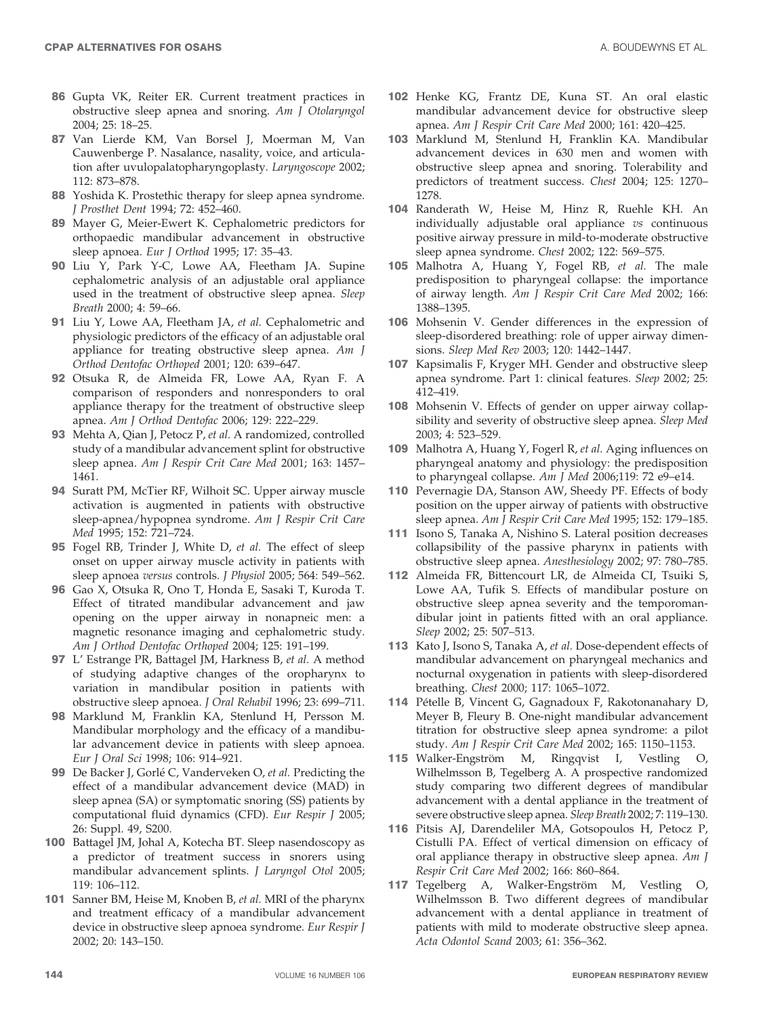- 86 Gupta VK, Reiter ER. Current treatment practices in obstructive sleep apnea and snoring. Am J Otolaryngol 2004; 25: 18–25.
- 87 Van Lierde KM, Van Borsel J, Moerman M, Van Cauwenberge P. Nasalance, nasality, voice, and articulation after uvulopalatopharyngoplasty. Laryngoscope 2002; 112: 873–878.
- 88 Yoshida K. Prostethic therapy for sleep apnea syndrome. J Prosthet Dent 1994; 72: 452–460.
- 89 Mayer G, Meier-Ewert K. Cephalometric predictors for orthopaedic mandibular advancement in obstructive sleep apnoea. Eur J Orthod 1995; 17: 35–43.
- 90 Liu Y, Park Y-C, Lowe AA, Fleetham JA. Supine cephalometric analysis of an adjustable oral appliance used in the treatment of obstructive sleep apnea. Sleep Breath 2000; 4: 59–66.
- 91 Liu Y, Lowe AA, Fleetham JA, et al. Cephalometric and physiologic predictors of the efficacy of an adjustable oral appliance for treating obstructive sleep apnea. Am J Orthod Dentofac Orthoped 2001; 120: 639–647.
- 92 Otsuka R, de Almeida FR, Lowe AA, Ryan F. A comparison of responders and nonresponders to oral appliance therapy for the treatment of obstructive sleep apnea. Am J Orthod Dentofac 2006; 129: 222–229.
- 93 Mehta A, Qian J, Petocz P, et al. A randomized, controlled study of a mandibular advancement splint for obstructive sleep apnea. Am J Respir Crit Care Med 2001; 163: 1457– 1461.
- 94 Suratt PM, McTier RF, Wilhoit SC. Upper airway muscle activation is augmented in patients with obstructive sleep-apnea/hypopnea syndrome. Am J Respir Crit Care Med 1995; 152: 721–724.
- 95 Fogel RB, Trinder J, White D, et al. The effect of sleep onset on upper airway muscle activity in patients with sleep apnoea versus controls. J Physiol 2005; 564: 549–562.
- 96 Gao X, Otsuka R, Ono T, Honda E, Sasaki T, Kuroda T. Effect of titrated mandibular advancement and jaw opening on the upper airway in nonapneic men: a magnetic resonance imaging and cephalometric study. Am J Orthod Dentofac Orthoped 2004; 125: 191–199.
- 97 L' Estrange PR, Battagel JM, Harkness B, et al. A method of studying adaptive changes of the oropharynx to variation in mandibular position in patients with obstructive sleep apnoea. J Oral Rehabil 1996; 23: 699–711.
- 98 Marklund M, Franklin KA, Stenlund H, Persson M. Mandibular morphology and the efficacy of a mandibular advancement device in patients with sleep apnoea. Eur J Oral Sci 1998; 106: 914–921.
- 99 De Backer J, Gorlé C, Vanderveken O, et al. Predicting the effect of a mandibular advancement device (MAD) in sleep apnea (SA) or symptomatic snoring (SS) patients by computational fluid dynamics (CFD). Eur Respir J 2005; 26: Suppl. 49, S200.
- 100 Battagel JM, Johal A, Kotecha BT. Sleep nasendoscopy as a predictor of treatment success in snorers using mandibular advancement splints. J Laryngol Otol 2005; 119: 106–112.
- 101 Sanner BM, Heise M, Knoben B, et al. MRI of the pharynx and treatment efficacy of a mandibular advancement device in obstructive sleep apnoea syndrome. Eur Respir J 2002; 20: 143–150.
- 102 Henke KG, Frantz DE, Kuna ST. An oral elastic mandibular advancement device for obstructive sleep apnea. Am J Respir Crit Care Med 2000; 161: 420–425.
- 103 Marklund M, Stenlund H, Franklin KA. Mandibular advancement devices in 630 men and women with obstructive sleep apnea and snoring. Tolerability and predictors of treatment success. Chest 2004; 125: 1270– 1278.
- 104 Randerath W, Heise M, Hinz R, Ruehle KH. An individually adjustable oral appliance vs continuous positive airway pressure in mild-to-moderate obstructive sleep apnea syndrome. Chest 2002; 122: 569–575.
- 105 Malhotra A, Huang Y, Fogel RB, et al. The male predisposition to pharyngeal collapse: the importance of airway length. Am J Respir Crit Care Med 2002; 166: 1388–1395.
- 106 Mohsenin V. Gender differences in the expression of sleep-disordered breathing: role of upper airway dimensions. Sleep Med Rev 2003; 120: 1442–1447.
- 107 Kapsimalis F, Kryger MH. Gender and obstructive sleep apnea syndrome. Part 1: clinical features. Sleep 2002; 25: 412–419.
- 108 Mohsenin V. Effects of gender on upper airway collapsibility and severity of obstructive sleep apnea. Sleep Med 2003; 4: 523–529.
- 109 Malhotra A, Huang Y, Fogerl R, et al. Aging influences on pharyngeal anatomy and physiology: the predisposition to pharyngeal collapse. Am J Med 2006;119: 72 e9-e14.
- 110 Pevernagie DA, Stanson AW, Sheedy PF. Effects of body position on the upper airway of patients with obstructive sleep apnea. Am J Respir Crit Care Med 1995; 152: 179–185.
- 111 Isono S, Tanaka A, Nishino S. Lateral position decreases collapsibility of the passive pharynx in patients with obstructive sleep apnea. Anesthesiology 2002; 97: 780–785.
- 112 Almeida FR, Bittencourt LR, de Almeida CI, Tsuiki S, Lowe AA, Tufik S. Effects of mandibular posture on obstructive sleep apnea severity and the temporomandibular joint in patients fitted with an oral appliance. Sleep 2002; 25: 507–513.
- 113 Kato J, Isono S, Tanaka A, et al. Dose-dependent effects of mandibular advancement on pharyngeal mechanics and nocturnal oxygenation in patients with sleep-disordered breathing. Chest 2000; 117: 1065–1072.
- 114 Pételle B, Vincent G, Gagnadoux F, Rakotonanahary D, Meyer B, Fleury B. One-night mandibular advancement titration for obstructive sleep apnea syndrome: a pilot study. Am J Respir Crit Care Med 2002; 165: 1150–1153.
- 115 Walker-Engström M, Ringqvist I, Vestling O, Wilhelmsson B, Tegelberg A. A prospective randomized study comparing two different degrees of mandibular advancement with a dental appliance in the treatment of severe obstructive sleep apnea. Sleep Breath 2002; 7: 119–130.
- 116 Pitsis AJ, Darendeliler MA, Gotsopoulos H, Petocz P, Cistulli PA. Effect of vertical dimension on efficacy of oral appliance therapy in obstructive sleep apnea. Am J Respir Crit Care Med 2002; 166: 860–864.
- 117 Tegelberg A, Walker-Engström M, Vestling O, Wilhelmsson B. Two different degrees of mandibular advancement with a dental appliance in treatment of patients with mild to moderate obstructive sleep apnea. Acta Odontol Scand 2003; 61: 356–362.